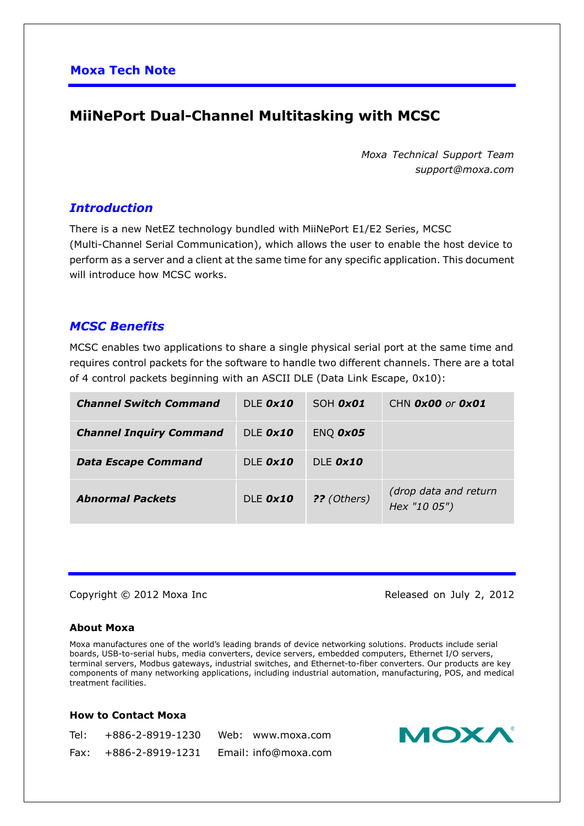## **MiiNePort Dual-Channel Multitasking with MCSC**

*Moxa Technical Support Team support@moxa.com*

## *Introduction*

There is a new NetEZ technology bundled with MiiNePort E1/E2 Series, MCSC (Multi-Channel Serial Communication), which allows the user to enable the host device to perform as a server and a client at the same time for any specific application. This document will introduce how MCSC works.

## *MCSC Benefits*

MCSC enables two applications to share a single physical serial port at the same time and requires control packets for the software to handle two different channels. There are a total of 4 control packets beginning with an ASCII DLE (Data Link Escape, 0x10):

| <b>Channel Switch Command</b>  | DLE $0x10$      | SOH <i>OxO1</i> | CHN $\boldsymbol{0} \times \boldsymbol{0} \boldsymbol{0}$ or $\boldsymbol{0} \times \boldsymbol{0} \boldsymbol{1}$ |
|--------------------------------|-----------------|-----------------|--------------------------------------------------------------------------------------------------------------------|
| <b>Channel Inquiry Command</b> | DLE <i>Ox10</i> | ENQ <i>OxO5</i> |                                                                                                                    |
| <b>Data Escape Command</b>     | DLE $0x10$      | DLE $0x10$      |                                                                                                                    |
| <b>Abnormal Packets</b>        | DLE <i>Ox10</i> | ?? (Others)     | (drop data and return<br>Hex "10 05")                                                                              |

#### Copyright © 2012 Moxa Inc **Released on July 2, 2012**

#### **About Moxa**

Moxa manufactures one of the world's leading brands of device networking solutions. Products include serial boards, USB-to-serial hubs, media converters, device servers, embedded computers, Ethernet I/O servers, terminal servers, Modbus gateways, industrial switches, and Ethernet-to-fiber converters. Our products are key components of many networking applications, including industrial automation, manufacturing, POS, and medical treatment facilities.

#### **How to Contact Moxa**

| Tel: | +886-2-8919-1230        | Web: www.moxa.com    |
|------|-------------------------|----------------------|
|      | $Fax: +886-2-8919-1231$ | Email: info@moxa.com |

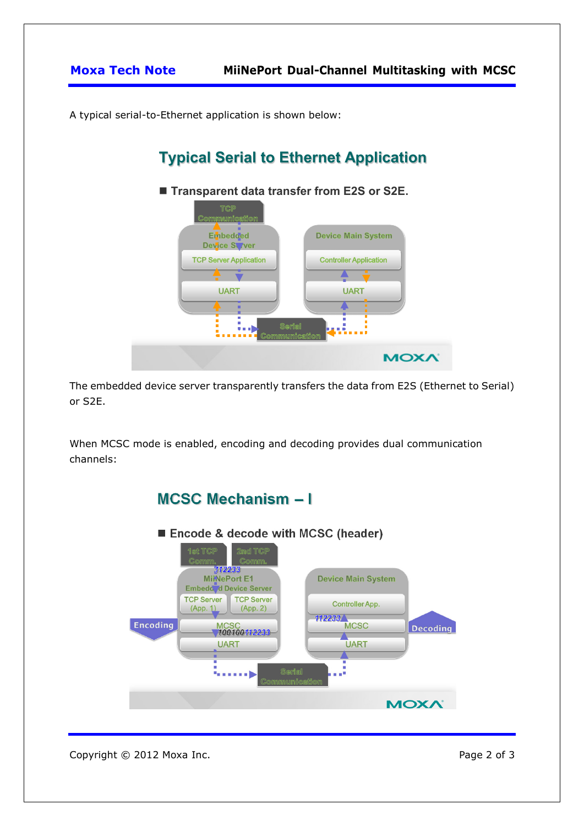**Moxa Tech Note MiiNePort Dual-Channel Multitasking with MCSC**

A typical serial-to-Ethernet application is shown below:

# **Typical Serial to Ethernet Application**



The embedded device server transparently transfers the data from E2S (Ethernet to Serial) or S2E.

When MCSC mode is enabled, encoding and decoding provides dual communication channels:



Copyright © 2012 Moxa Inc. extending the control of 3 Page 2 of 3